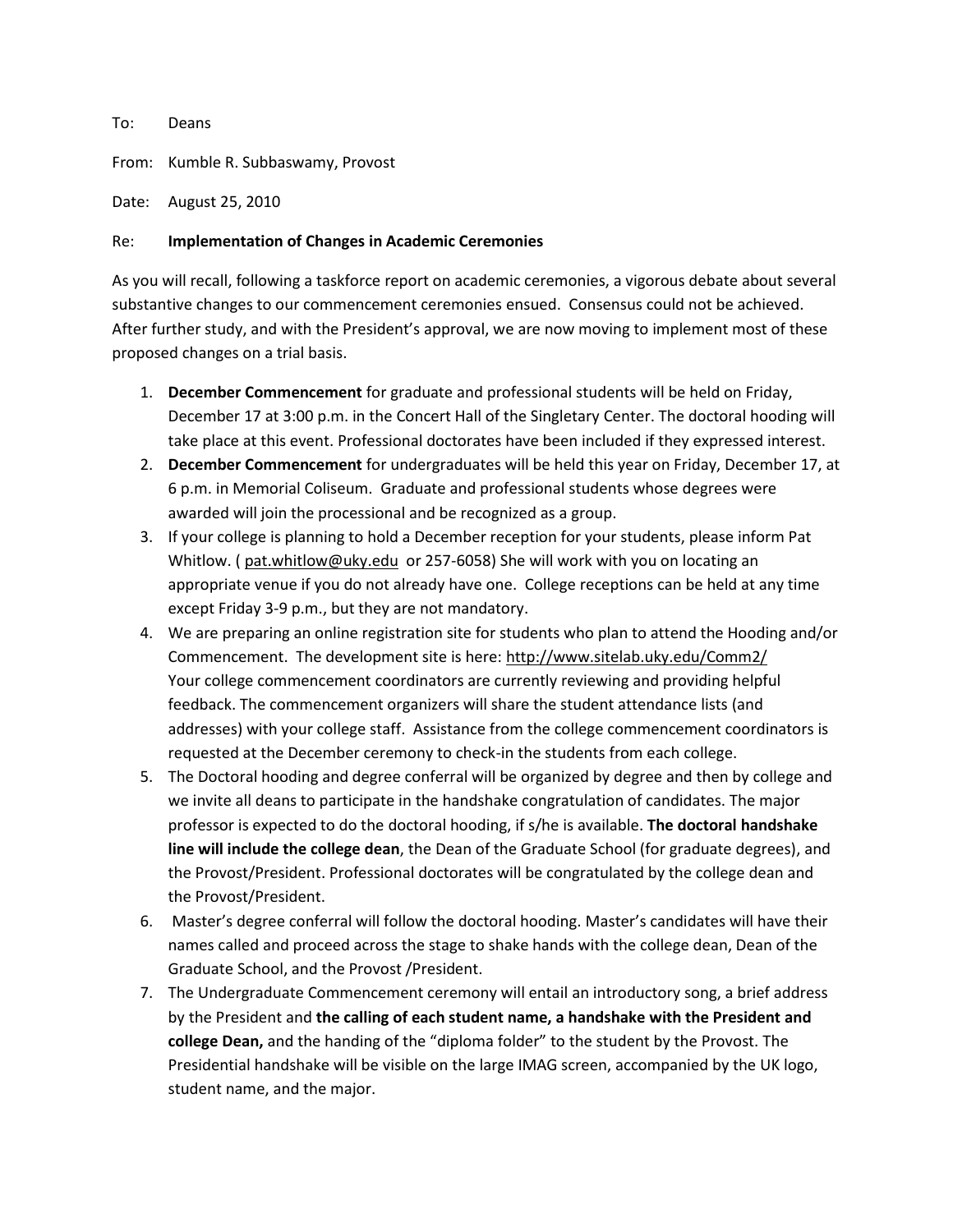## To: Deans

From: Kumble R. Subbaswamy, Provost

Date: August 25, 2010

## Re: **Implementation of Changes in Academic Ceremonies**

As you will recall, following a taskforce report on academic ceremonies, a vigorous debate about several substantive changes to our commencement ceremonies ensued. Consensus could not be achieved. After further study, and with the President's approval, we are now moving to implement most of these proposed changes on a trial basis.

- 1. **December Commencement** for graduate and professional students will be held on Friday, December 17 at 3:00 p.m. in the Concert Hall of the Singletary Center. The doctoral hooding will take place at this event. Professional doctorates have been included if they expressed interest.
- 2. **December Commencement** for undergraduates will be held this year on Friday, December 17, at 6 p.m. in Memorial Coliseum. Graduate and professional students whose degrees were awarded will join the processional and be recognized as a group.
- 3. If your college is planning to hold a December reception for your students, please inform Pat Whitlow. ( [pat.whitlow@uky.edu](mailto:pat.whitlow@uky.edu) or 257-6058) She will work with you on locating an appropriate venue if you do not already have one. College receptions can be held at any time except Friday 3-9 p.m., but they are not mandatory.
- 4. We are preparing an online registration site for students who plan to attend the Hooding and/or Commencement. The development site is here:<http://www.sitelab.uky.edu/Comm2/> Your college commencement coordinators are currently reviewing and providing helpful feedback. The commencement organizers will share the student attendance lists (and addresses) with your college staff. Assistance from the college commencement coordinators is requested at the December ceremony to check-in the students from each college.
- 5. The Doctoral hooding and degree conferral will be organized by degree and then by college and we invite all deans to participate in the handshake congratulation of candidates. The major professor is expected to do the doctoral hooding, if s/he is available. **The doctoral handshake line will include the college dean**, the Dean of the Graduate School (for graduate degrees), and the Provost/President. Professional doctorates will be congratulated by the college dean and the Provost/President.
- 6. Master's degree conferral will follow the doctoral hooding. Master's candidates will have their names called and proceed across the stage to shake hands with the college dean, Dean of the Graduate School, and the Provost /President.
- 7. The Undergraduate Commencement ceremony will entail an introductory song, a brief address by the President and **the calling of each student name, a handshake with the President and college Dean,** and the handing of the "diploma folder" to the student by the Provost. The Presidential handshake will be visible on the large IMAG screen, accompanied by the UK logo, student name, and the major.